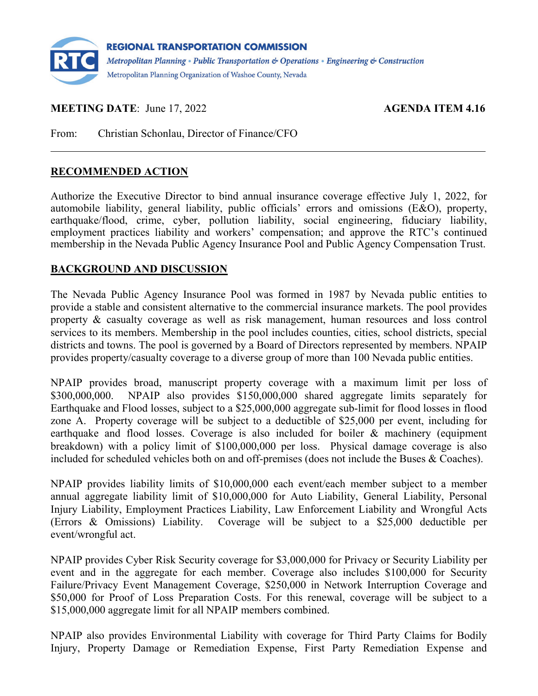

**MEETING DATE:** June 17, 2022 **AGENDA ITEM 4.16** 

From: Christian Schonlau, Director of Finance/CFO

### **RECOMMENDED ACTION**

Authorize the Executive Director to bind annual insurance coverage effective July 1, 2022, for automobile liability, general liability, public officials' errors and omissions (E&O), property, earthquake/flood, crime, cyber, pollution liability, social engineering, fiduciary liability, employment practices liability and workers' compensation; and approve the RTC's continued membership in the Nevada Public Agency Insurance Pool and Public Agency Compensation Trust.

#### **BACKGROUND AND DISCUSSION**

The Nevada Public Agency Insurance Pool was formed in 1987 by Nevada public entities to provide a stable and consistent alternative to the commercial insurance markets. The pool provides property & casualty coverage as well as risk management, human resources and loss control services to its members. Membership in the pool includes counties, cities, school districts, special districts and towns. The pool is governed by a Board of Directors represented by members. NPAIP provides property/casualty coverage to a diverse group of more than 100 Nevada public entities.

NPAIP provides broad, manuscript property coverage with a maximum limit per loss of \$300,000,000. NPAIP also provides \$150,000,000 shared aggregate limits separately for Earthquake and Flood losses, subject to a \$25,000,000 aggregate sub-limit for flood losses in flood zone A. Property coverage will be subject to a deductible of \$25,000 per event, including for earthquake and flood losses. Coverage is also included for boiler & machinery (equipment breakdown) with a policy limit of \$100,000,000 per loss. Physical damage coverage is also included for scheduled vehicles both on and off-premises (does not include the Buses & Coaches).

NPAIP provides liability limits of \$10,000,000 each event/each member subject to a member annual aggregate liability limit of \$10,000,000 for Auto Liability, General Liability, Personal Injury Liability, Employment Practices Liability, Law Enforcement Liability and Wrongful Acts (Errors & Omissions) Liability. Coverage will be subject to a \$25,000 deductible per event/wrongful act.

NPAIP provides Cyber Risk Security coverage for \$3,000,000 for Privacy or Security Liability per event and in the aggregate for each member. Coverage also includes \$100,000 for Security Failure/Privacy Event Management Coverage, \$250,000 in Network Interruption Coverage and \$50,000 for Proof of Loss Preparation Costs. For this renewal, coverage will be subject to a \$15,000,000 aggregate limit for all NPAIP members combined.

NPAIP also provides Environmental Liability with coverage for Third Party Claims for Bodily Injury, Property Damage or Remediation Expense, First Party Remediation Expense and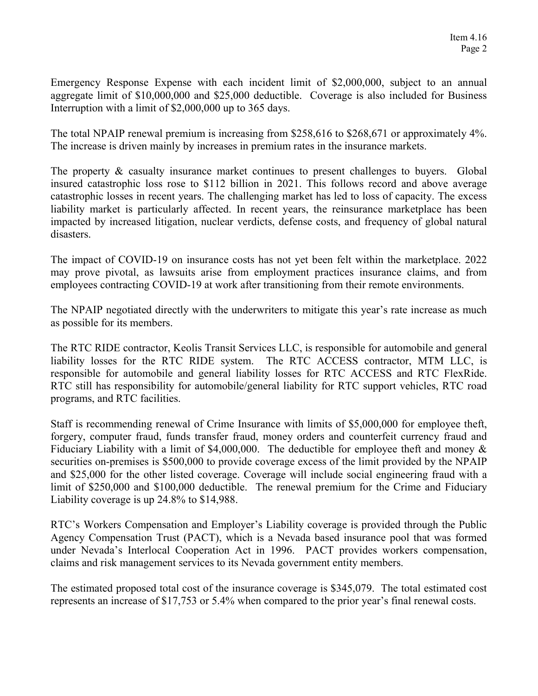Emergency Response Expense with each incident limit of \$2,000,000, subject to an annual aggregate limit of \$10,000,000 and \$25,000 deductible. Coverage is also included for Business Interruption with a limit of \$2,000,000 up to 365 days.

The total NPAIP renewal premium is increasing from \$258,616 to \$268,671 or approximately 4%. The increase is driven mainly by increases in premium rates in the insurance markets.

The property & casualty insurance market continues to present challenges to buyers. Global insured catastrophic loss rose to \$112 billion in 2021. This follows record and above average catastrophic losses in recent years. The challenging market has led to loss of capacity. The excess liability market is particularly affected. In recent years, the reinsurance marketplace has been impacted by increased litigation, nuclear verdicts, defense costs, and frequency of global natural disasters.

The impact of COVID-19 on insurance costs has not yet been felt within the marketplace. 2022 may prove pivotal, as lawsuits arise from employment practices insurance claims, and from employees contracting COVID-19 at work after transitioning from their remote environments.

The NPAIP negotiated directly with the underwriters to mitigate this year's rate increase as much as possible for its members.

The RTC RIDE contractor, Keolis Transit Services LLC, is responsible for automobile and general liability losses for the RTC RIDE system. The RTC ACCESS contractor, MTM LLC, is responsible for automobile and general liability losses for RTC ACCESS and RTC FlexRide. RTC still has responsibility for automobile/general liability for RTC support vehicles, RTC road programs, and RTC facilities.

Staff is recommending renewal of Crime Insurance with limits of \$5,000,000 for employee theft, forgery, computer fraud, funds transfer fraud, money orders and counterfeit currency fraud and Fiduciary Liability with a limit of \$4,000,000. The deductible for employee theft and money & securities on-premises is \$500,000 to provide coverage excess of the limit provided by the NPAIP and \$25,000 for the other listed coverage. Coverage will include social engineering fraud with a limit of \$250,000 and \$100,000 deductible. The renewal premium for the Crime and Fiduciary Liability coverage is up 24.8% to \$14,988.

RTC's Workers Compensation and Employer's Liability coverage is provided through the Public Agency Compensation Trust (PACT), which is a Nevada based insurance pool that was formed under Nevada's Interlocal Cooperation Act in 1996. PACT provides workers compensation, claims and risk management services to its Nevada government entity members.

The estimated proposed total cost of the insurance coverage is \$345,079. The total estimated cost represents an increase of \$17,753 or 5.4% when compared to the prior year's final renewal costs.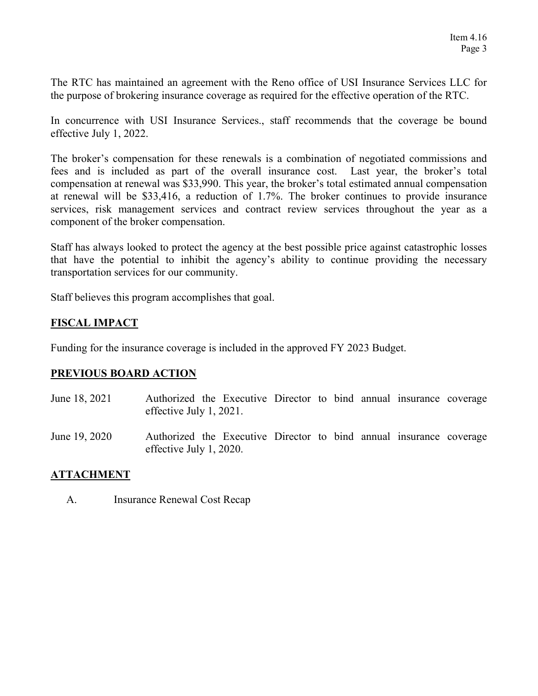The RTC has maintained an agreement with the Reno office of USI Insurance Services LLC for the purpose of brokering insurance coverage as required for the effective operation of the RTC.

In concurrence with USI Insurance Services., staff recommends that the coverage be bound effective July 1, 2022.

The broker's compensation for these renewals is a combination of negotiated commissions and fees and is included as part of the overall insurance cost. Last year, the broker's total compensation at renewal was \$33,990. This year, the broker's total estimated annual compensation at renewal will be \$33,416, a reduction of 1.7%. The broker continues to provide insurance services, risk management services and contract review services throughout the year as a component of the broker compensation.

Staff has always looked to protect the agency at the best possible price against catastrophic losses that have the potential to inhibit the agency's ability to continue providing the necessary transportation services for our community.

Staff believes this program accomplishes that goal.

# **FISCAL IMPACT**

Funding for the insurance coverage is included in the approved FY 2023 Budget.

### **PREVIOUS BOARD ACTION**

- June 18, 2021 Authorized the Executive Director to bind annual insurance coverage effective July 1, 2021.
- June 19, 2020 Authorized the Executive Director to bind annual insurance coverage effective July 1, 2020.

### **ATTACHMENT**

A. Insurance Renewal Cost Recap